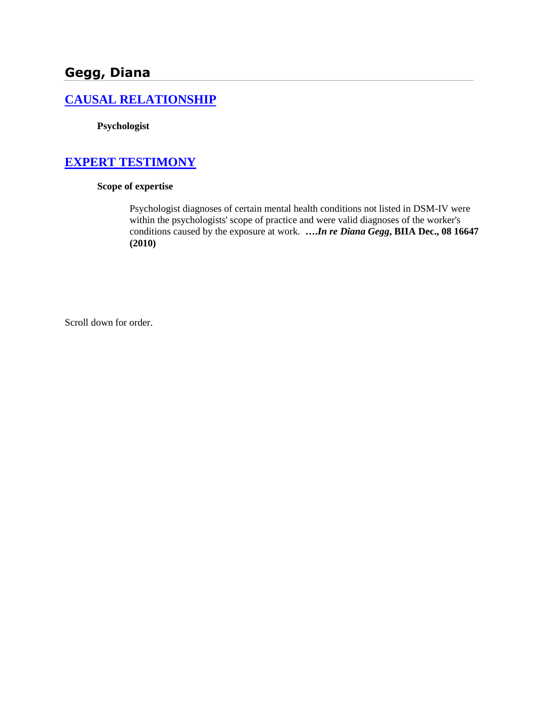# **Gegg, Diana**

#### **[CAUSAL RELATIONSHIP](http://www.biia.wa.gov/SDSubjectIndex.html#CAUSAL_RELATIONSHIP/)**

**Psychologist**

## **[EXPERT TESTIMONY](http://www.biia.wa.gov/SDSubjectIndex.html#EXPERT_TESTIMONY)**

#### **Scope of expertise**

Psychologist diagnoses of certain mental health conditions not listed in DSM-IV were within the psychologists' scope of practice and were valid diagnoses of the worker's conditions caused by the exposure at work. **….***In re Diana Gegg***, BIIA Dec., 08 16647 (2010)**

Scroll down for order.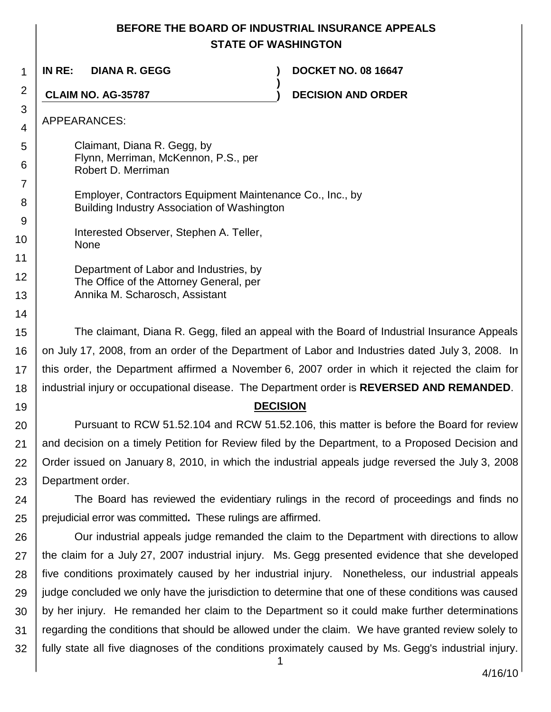## **BEFORE THE BOARD OF INDUSTRIAL INSURANCE APPEALS STATE OF WASHINGTON**

**)**

1 **IN RE: DIANA R. GEGG ) DOCKET NO. 08 16647**

**CLAIM NO. AG-35787 ) DECISION AND ORDER**

APPEARANCES:

2

3 4

5

6

7

9

10

11

12

13 14

19

Claimant, Diana R. Gegg, by Flynn, Merriman, McKennon, P.S., per Robert D. Merriman

8 Employer, Contractors Equipment Maintenance Co., Inc., by Building Industry Association of Washington

Interested Observer, Stephen A. Teller, None

Department of Labor and Industries, by The Office of the Attorney General, per Annika M. Scharosch, Assistant

15 16 17 18 The claimant, Diana R. Gegg, filed an appeal with the Board of Industrial Insurance Appeals on July 17, 2008, from an order of the Department of Labor and Industries dated July 3, 2008. In this order, the Department affirmed a November 6, 2007 order in which it rejected the claim for industrial injury or occupational disease. The Department order is **REVERSED AND REMANDED**.

#### **DECISION**

20 21 22 23 Pursuant to RCW 51.52.104 and RCW 51.52.106, this matter is before the Board for review and decision on a timely Petition for Review filed by the Department, to a Proposed Decision and Order issued on January 8, 2010, in which the industrial appeals judge reversed the July 3, 2008 Department order.

24 25 The Board has reviewed the evidentiary rulings in the record of proceedings and finds no prejudicial error was committed**.** These rulings are affirmed.

26 27 28 29 30 31 32 Our industrial appeals judge remanded the claim to the Department with directions to allow the claim for a July 27, 2007 industrial injury. Ms. Gegg presented evidence that she developed five conditions proximately caused by her industrial injury. Nonetheless, our industrial appeals judge concluded we only have the jurisdiction to determine that one of these conditions was caused by her injury. He remanded her claim to the Department so it could make further determinations regarding the conditions that should be allowed under the claim. We have granted review solely to fully state all five diagnoses of the conditions proximately caused by Ms. Gegg's industrial injury.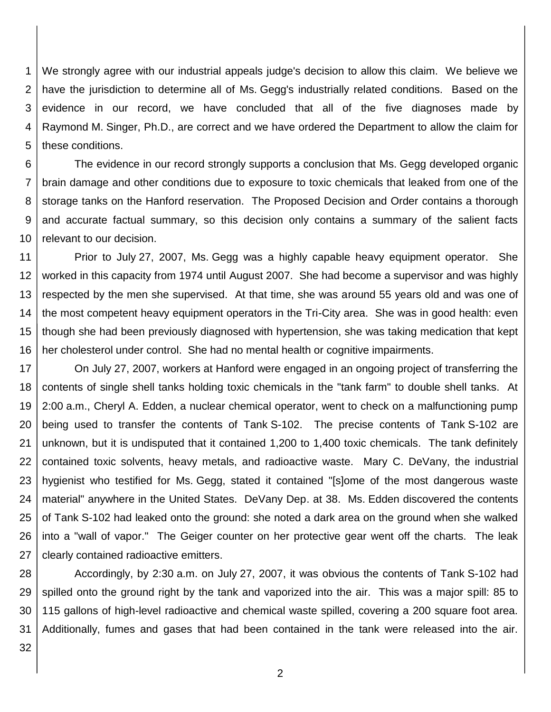1 2 3 4 5 We strongly agree with our industrial appeals judge's decision to allow this claim. We believe we have the jurisdiction to determine all of Ms. Gegg's industrially related conditions. Based on the evidence in our record, we have concluded that all of the five diagnoses made by Raymond M. Singer, Ph.D., are correct and we have ordered the Department to allow the claim for these conditions.

6 7 8 9 10 The evidence in our record strongly supports a conclusion that Ms. Gegg developed organic brain damage and other conditions due to exposure to toxic chemicals that leaked from one of the storage tanks on the Hanford reservation. The Proposed Decision and Order contains a thorough and accurate factual summary, so this decision only contains a summary of the salient facts relevant to our decision.

11 12 13 14 15 16 Prior to July 27, 2007, Ms. Gegg was a highly capable heavy equipment operator. She worked in this capacity from 1974 until August 2007. She had become a supervisor and was highly respected by the men she supervised. At that time, she was around 55 years old and was one of the most competent heavy equipment operators in the Tri-City area. She was in good health: even though she had been previously diagnosed with hypertension, she was taking medication that kept her cholesterol under control. She had no mental health or cognitive impairments.

17 18 19 20 21 22 23 24 25 26 27 On July 27, 2007, workers at Hanford were engaged in an ongoing project of transferring the contents of single shell tanks holding toxic chemicals in the "tank farm" to double shell tanks. At 2:00 a.m., Cheryl A. Edden, a nuclear chemical operator, went to check on a malfunctioning pump being used to transfer the contents of Tank S-102. The precise contents of Tank S-102 are unknown, but it is undisputed that it contained 1,200 to 1,400 toxic chemicals. The tank definitely contained toxic solvents, heavy metals, and radioactive waste. Mary C. DeVany, the industrial hygienist who testified for Ms. Gegg, stated it contained "[s]ome of the most dangerous waste material" anywhere in the United States. DeVany Dep. at 38. Ms. Edden discovered the contents of Tank S-102 had leaked onto the ground: she noted a dark area on the ground when she walked into a "wall of vapor." The Geiger counter on her protective gear went off the charts. The leak clearly contained radioactive emitters.

28 29 30 31 Accordingly, by 2:30 a.m. on July 27, 2007, it was obvious the contents of Tank S-102 had spilled onto the ground right by the tank and vaporized into the air. This was a major spill: 85 to 115 gallons of high-level radioactive and chemical waste spilled, covering a 200 square foot area. Additionally, fumes and gases that had been contained in the tank were released into the air.

32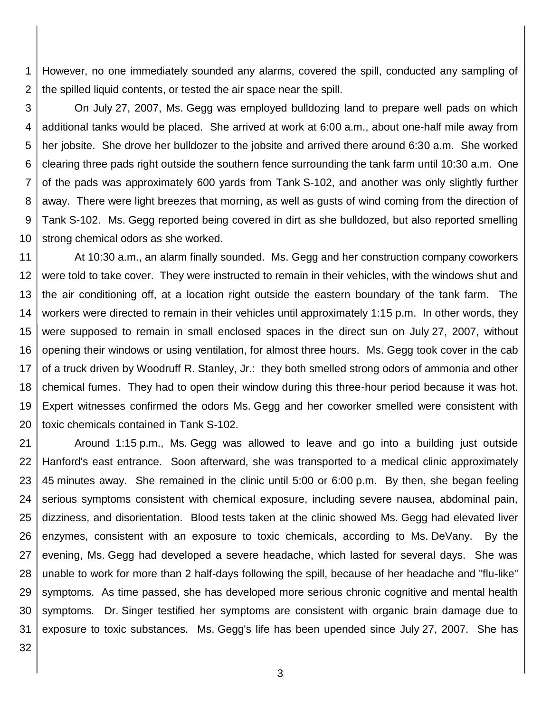1 2 However, no one immediately sounded any alarms, covered the spill, conducted any sampling of the spilled liquid contents, or tested the air space near the spill.

3 4 5 6 7 8 9 10 On July 27, 2007, Ms. Gegg was employed bulldozing land to prepare well pads on which additional tanks would be placed. She arrived at work at 6:00 a.m., about one-half mile away from her jobsite. She drove her bulldozer to the jobsite and arrived there around 6:30 a.m. She worked clearing three pads right outside the southern fence surrounding the tank farm until 10:30 a.m. One of the pads was approximately 600 yards from Tank S-102, and another was only slightly further away. There were light breezes that morning, as well as gusts of wind coming from the direction of Tank S-102. Ms. Gegg reported being covered in dirt as she bulldozed, but also reported smelling strong chemical odors as she worked.

11 12 13 14 15 16 17 18 19 20 At 10:30 a.m., an alarm finally sounded. Ms. Gegg and her construction company coworkers were told to take cover. They were instructed to remain in their vehicles, with the windows shut and the air conditioning off, at a location right outside the eastern boundary of the tank farm. The workers were directed to remain in their vehicles until approximately 1:15 p.m. In other words, they were supposed to remain in small enclosed spaces in the direct sun on July 27, 2007, without opening their windows or using ventilation, for almost three hours. Ms. Gegg took cover in the cab of a truck driven by Woodruff R. Stanley, Jr.: they both smelled strong odors of ammonia and other chemical fumes. They had to open their window during this three-hour period because it was hot. Expert witnesses confirmed the odors Ms. Gegg and her coworker smelled were consistent with toxic chemicals contained in Tank S-102.

21 22 23 24 25 26 27 28 29 30 31 Around 1:15 p.m., Ms. Gegg was allowed to leave and go into a building just outside Hanford's east entrance. Soon afterward, she was transported to a medical clinic approximately 45 minutes away. She remained in the clinic until 5:00 or 6:00 p.m. By then, she began feeling serious symptoms consistent with chemical exposure, including severe nausea, abdominal pain, dizziness, and disorientation. Blood tests taken at the clinic showed Ms. Gegg had elevated liver enzymes, consistent with an exposure to toxic chemicals, according to Ms. DeVany. By the evening, Ms. Gegg had developed a severe headache, which lasted for several days. She was unable to work for more than 2 half-days following the spill, because of her headache and "flu-like" symptoms. As time passed, she has developed more serious chronic cognitive and mental health symptoms. Dr. Singer testified her symptoms are consistent with organic brain damage due to exposure to toxic substances. Ms. Gegg's life has been upended since July 27, 2007. She has

32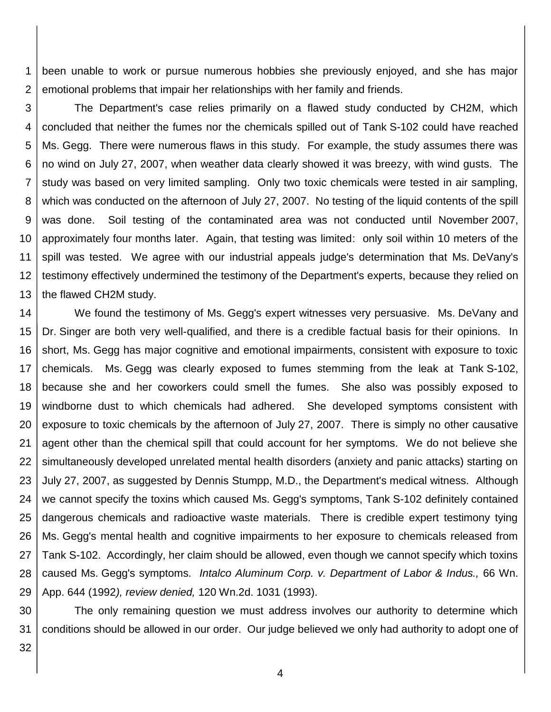1 2 been unable to work or pursue numerous hobbies she previously enjoyed, and she has major emotional problems that impair her relationships with her family and friends.

3 4 5 6 7 8 9 10 11 12 13 The Department's case relies primarily on a flawed study conducted by CH2M, which concluded that neither the fumes nor the chemicals spilled out of Tank S-102 could have reached Ms. Gegg. There were numerous flaws in this study. For example, the study assumes there was no wind on July 27, 2007, when weather data clearly showed it was breezy, with wind gusts. The study was based on very limited sampling. Only two toxic chemicals were tested in air sampling, which was conducted on the afternoon of July 27, 2007. No testing of the liquid contents of the spill was done. Soil testing of the contaminated area was not conducted until November 2007, approximately four months later. Again, that testing was limited: only soil within 10 meters of the spill was tested. We agree with our industrial appeals judge's determination that Ms. DeVany's testimony effectively undermined the testimony of the Department's experts, because they relied on the flawed CH2M study.

14 15 16 17 18 19 20 21 22 23 24 25 26 27 28 29 We found the testimony of Ms. Gegg's expert witnesses very persuasive. Ms. DeVany and Dr. Singer are both very well-qualified, and there is a credible factual basis for their opinions. In short, Ms. Gegg has major cognitive and emotional impairments, consistent with exposure to toxic chemicals. Ms. Gegg was clearly exposed to fumes stemming from the leak at Tank S-102, because she and her coworkers could smell the fumes. She also was possibly exposed to windborne dust to which chemicals had adhered. She developed symptoms consistent with exposure to toxic chemicals by the afternoon of July 27, 2007. There is simply no other causative agent other than the chemical spill that could account for her symptoms. We do not believe she simultaneously developed unrelated mental health disorders (anxiety and panic attacks) starting on July 27, 2007, as suggested by Dennis Stumpp, M.D., the Department's medical witness. Although we cannot specify the toxins which caused Ms. Gegg's symptoms, Tank S-102 definitely contained dangerous chemicals and radioactive waste materials. There is credible expert testimony tying Ms. Gegg's mental health and cognitive impairments to her exposure to chemicals released from Tank S-102. Accordingly, her claim should be allowed, even though we cannot specify which toxins caused Ms. Gegg's symptoms. *Intalco Aluminum Corp. v. Department of Labor & Indus.,* 66 Wn. App. 644 (1992*), review denied,* 120 Wn.2d. 1031 (1993).

30 31 The only remaining question we must address involves our authority to determine which conditions should be allowed in our order. Our judge believed we only had authority to adopt one of

32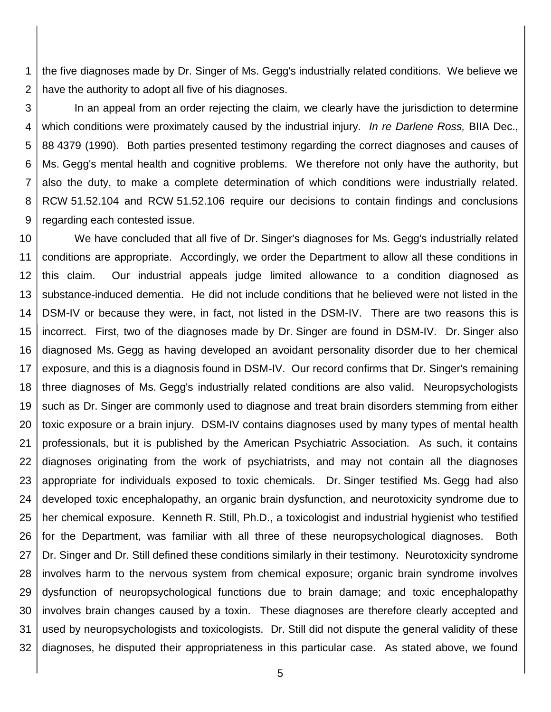1 2 the five diagnoses made by Dr. Singer of Ms. Gegg's industrially related conditions. We believe we have the authority to adopt all five of his diagnoses.

3 4 5 6 7 8 9 In an appeal from an order rejecting the claim, we clearly have the jurisdiction to determine which conditions were proximately caused by the industrial injury. *In re Darlene Ross,* BIIA Dec., 88 4379 (1990). Both parties presented testimony regarding the correct diagnoses and causes of Ms. Gegg's mental health and cognitive problems. We therefore not only have the authority, but also the duty, to make a complete determination of which conditions were industrially related. RCW 51.52.104 and RCW 51.52.106 require our decisions to contain findings and conclusions regarding each contested issue.

10 11 12 13 14 15 16 17 18 19 20 21 22 23 24 25 26 27 28 29 30 31 32 We have concluded that all five of Dr. Singer's diagnoses for Ms. Gegg's industrially related conditions are appropriate. Accordingly, we order the Department to allow all these conditions in this claim. Our industrial appeals judge limited allowance to a condition diagnosed as substance-induced dementia. He did not include conditions that he believed were not listed in the DSM-IV or because they were, in fact, not listed in the DSM-IV. There are two reasons this is incorrect. First, two of the diagnoses made by Dr. Singer are found in DSM-IV. Dr. Singer also diagnosed Ms. Gegg as having developed an avoidant personality disorder due to her chemical exposure, and this is a diagnosis found in DSM-IV. Our record confirms that Dr. Singer's remaining three diagnoses of Ms. Gegg's industrially related conditions are also valid. Neuropsychologists such as Dr. Singer are commonly used to diagnose and treat brain disorders stemming from either toxic exposure or a brain injury. DSM-IV contains diagnoses used by many types of mental health professionals, but it is published by the American Psychiatric Association. As such, it contains diagnoses originating from the work of psychiatrists, and may not contain all the diagnoses appropriate for individuals exposed to toxic chemicals. Dr. Singer testified Ms. Gegg had also developed toxic encephalopathy, an organic brain dysfunction, and neurotoxicity syndrome due to her chemical exposure. Kenneth R. Still, Ph.D., a toxicologist and industrial hygienist who testified for the Department, was familiar with all three of these neuropsychological diagnoses. Both Dr. Singer and Dr. Still defined these conditions similarly in their testimony. Neurotoxicity syndrome involves harm to the nervous system from chemical exposure; organic brain syndrome involves dysfunction of neuropsychological functions due to brain damage; and toxic encephalopathy involves brain changes caused by a toxin. These diagnoses are therefore clearly accepted and used by neuropsychologists and toxicologists. Dr. Still did not dispute the general validity of these diagnoses, he disputed their appropriateness in this particular case. As stated above, we found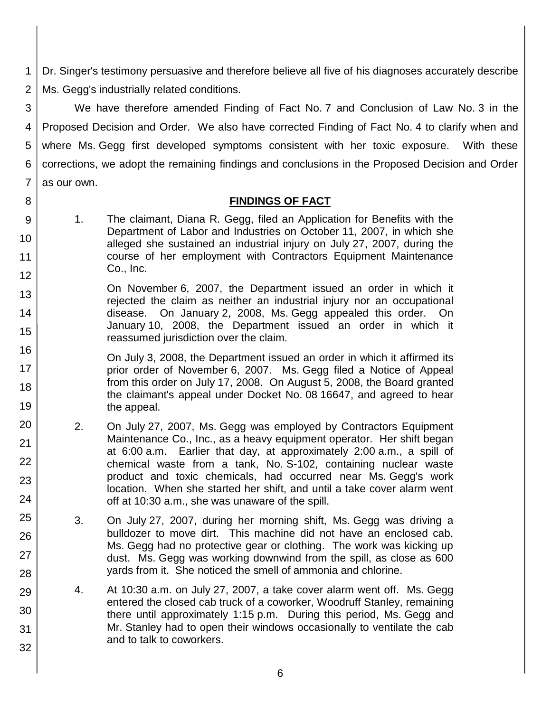1 2 Dr. Singer's testimony persuasive and therefore believe all five of his diagnoses accurately describe Ms. Gegg's industrially related conditions.

3 4 5 6 7 We have therefore amended Finding of Fact No. 7 and Conclusion of Law No. 3 in the Proposed Decision and Order. We also have corrected Finding of Fact No. 4 to clarify when and where Ms. Gegg first developed symptoms consistent with her toxic exposure. With these corrections, we adopt the remaining findings and conclusions in the Proposed Decision and Order as our own.

#### **FINDINGS OF FACT**

9 10 11 12 1. The claimant, Diana R. Gegg, filed an Application for Benefits with the Department of Labor and Industries on October 11, 2007, in which she alleged she sustained an industrial injury on July 27, 2007, during the course of her employment with Contractors Equipment Maintenance Co., Inc.

8

20

21

22

23

24

25

26

27

28

29

30

31

- 13 14 15 On November 6, 2007, the Department issued an order in which it rejected the claim as neither an industrial injury nor an occupational disease. On January 2, 2008, Ms. Gegg appealed this order. On January 10, 2008, the Department issued an order in which it reassumed jurisdiction over the claim.
- 16 17 18 19 On July 3, 2008, the Department issued an order in which it affirmed its prior order of November 6, 2007. Ms. Gegg filed a Notice of Appeal from this order on July 17, 2008. On August 5, 2008, the Board granted the claimant's appeal under Docket No. 08 16647, and agreed to hear the appeal.
	- 2. On July 27, 2007, Ms. Gegg was employed by Contractors Equipment Maintenance Co., Inc., as a heavy equipment operator. Her shift began at 6:00 a.m. Earlier that day, at approximately 2:00 a.m., a spill of chemical waste from a tank, No. S-102, containing nuclear waste product and toxic chemicals, had occurred near Ms. Gegg's work location. When she started her shift, and until a take cover alarm went off at 10:30 a.m., she was unaware of the spill.
		- 3. On July 27, 2007, during her morning shift, Ms. Gegg was driving a bulldozer to move dirt. This machine did not have an enclosed cab. Ms. Gegg had no protective gear or clothing. The work was kicking up dust. Ms. Gegg was working downwind from the spill, as close as 600 yards from it. She noticed the smell of ammonia and chlorine.
	- 4. At 10:30 a.m. on July 27, 2007, a take cover alarm went off. Ms. Gegg entered the closed cab truck of a coworker, Woodruff Stanley, remaining there until approximately 1:15 p.m. During this period, Ms. Gegg and Mr. Stanley had to open their windows occasionally to ventilate the cab and to talk to coworkers.